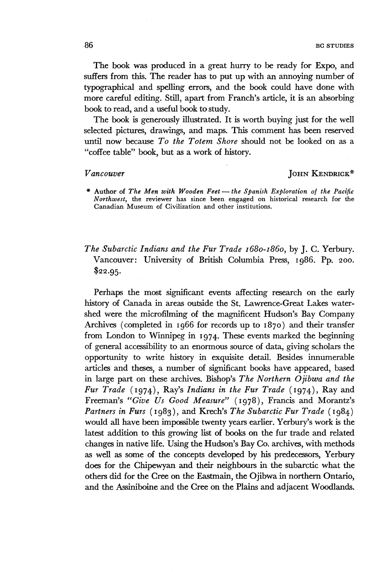The book was produced in a great hurry to be ready for Expo, and suffers from this. The reader has to put up with an annoying number of typographical and spelling errors, and the book could have done with more careful editing. Still, apart from Franch's article, it is an absorbing book to read, and a useful book to study.

The book is generously illustrated. It is worth buying just for the well selected pictures, drawings, and maps. This comment has been reserved until now because *To the Totem Shore* should not be looked on as a "coffee table" book, but as a work of history.

## *Vancouver* JOHN KENDRICK\*

- **\* Author of** *The Men with Wooden Feet* **—** *the Spanish Exploration of the Pacific Northwest,* the reviewer has since been engaged on historical research for the Canadian Museum of Civilization and other institutions.
- *The Subarctic Indians and the Fur Trade 1680-1860*, by J. C. Yerbury. Vancouver: University of British Columbia Press, 1986. Pp. 200.  $$22.95.$

Perhaps the most significant events affecting research on the early history of Canada in areas outside the St. Lawrence-Great Lakes watershed were the microfilming of the magnificent Hudson's Bay Company Archives (completed in 1966 for records up to 1870) and their transfer from London to Winnipeg in 1974. These events marked the beginning of general accessibility to an enormous source of data, giving scholars the opportunity to write history in exquisite detail. Besides innumerable articles and theses, a number of significant books have appeared, based in large part on these archives. Bishop's *The Northern Ojibwa and the Fur Trade* (1974), Ray's *Indians in the Fur Trade* (1974), Ray and Freeman's *"Give Us Good Measure"* (1978), Francis and Morantz's *Partners in Furs* (1983), and Krech's *The Subarctic Fur Trade* (1984) would all have been impossible twenty years earlier. Yerbury's work is the latest addition to this growing list of books on the fur trade and related changes in native life. Using the Hudson's Bay Co. archives, with methods as well as some of the concepts developed by his predecessor, Yerbury does for the Chipewyan and their neighbours in the subarctic what the others did for the Cree on the Eastmain, the Ojibwa in northern Ontario, and the Assiniboine and the Cree on the Plains and adjacent Woodlands.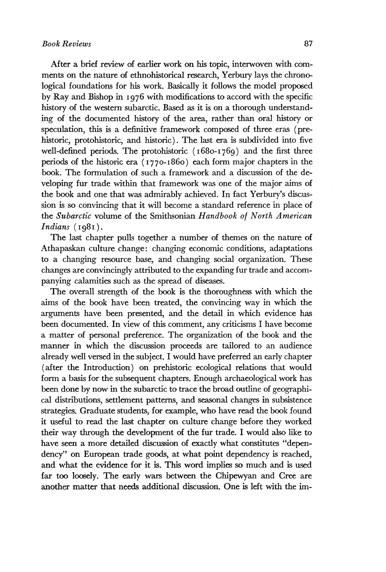After a brief review of earlier work on his topic, interwoven with comments on the nature of ethnohistorical research, Yerbury lays the chronological foundations for his work. Basically it follows the model proposed by Ray and Bishop in 1976 with modifications to accord with the specific history of the western subarctic. Based as it is on a thorough understanding of the documented history of the area, rather than oral history or speculation, this is a definitive framework composed of three eras (prehistoric, protohistoric, and historic). The last era is subdivided into five well-defined periods. The protohistoric (1680-1769) and the first three periods of the historic era ( 1770-1860) each form major chapters in the book. The formulation of such a framework and a discussion of the developing fur trade within that framework was one of the major aims of the book and one that was admirably achieved. In fact Yerbury's discussion is so convincing that it will become a standard reference in place of the *Subarctic* volume of the Smithsonian *Handbook of North American Indians* (1981).

The last chapter pulls together a number of themes on the nature of Athapaskan culture change: changing economic conditions, adaptations to a changing resource base, and changing social organization. These changes are convincingly attributed to the expanding fur trade and accompanying calamities such as the spread of diseases.

The overall strength of the book is the thoroughness with which the aims of the book have been treated, the convincing way in which the arguments have been presented, and the detail in which evidence has been documented. In view of this comment, any criticisms I have become a matter of personal preference. The organization of the book and the manner in which the discussion proceeds are tailored to an audience already well versed in the subject. I would have preferred an early chapter (after the Introduction) on prehistoric ecological relations that would form a basis for the subsequent chapters. Enough archaeological work has been done by now in the subarctic to trace the broad outline of geographical distributions, settlement patterns, and seasonal changes in subsistence strategies. Graduate students, for example, who have read the book found it useful to read the last chapter on culture change before they worked their way through the development of the fur trade. I would also like to have seen a more detailed discussion of exactly what constitutes "dependency" on European trade goods, at what point dependency is reached, and what the evidence for it is. This word implies so much and is used far too loosely. The early wars between the Chipewyan and Cree are another matter that needs additional discussion. One is left with the im